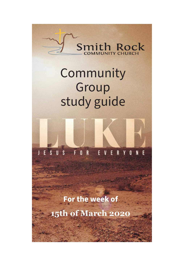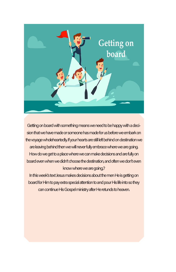

Getting on board with something means we need to be happy with a decision that we have made or someone has made for us before we embark on the voyage wholeheartedly. If your hearts are still left behind on destination we are leaving behind then we will never fully embrace where we are going. How do we get to a place where we can make decisions and are fully on board even when we didn't choose the destination, and often we don't even know where we are going,?

In this week's text Jesus makes decisions about the men He is getting on board for Him to pay extra special attention to and pour His life into so they can continue His Gospel ministry after He retunds to heaven.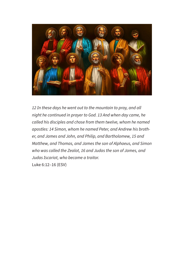

*12 In these days he went out to the mountain to pray, and all night he continued in prayer to God. 13 And when day came, he called his disciples and chose from them twelve, whom he named apostles: 14 Simon, whom he named Peter, and Andrew his brother, and James and John, and Philip, and Bartholomew, 15 and Matthew, and Thomas, and James the son of Alphaeus, and Simon who was called the Zealot, 16 and Judas the son of James, and Judas Iscariot, who became a traitor.* Luke 6:12–16 (ESV)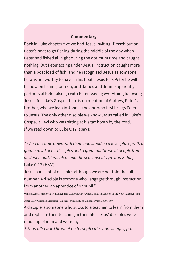### **Commentary**

Back in Luke chapter five we had Jesus inviting Himself out on Peter's boat to go fishing during the middle of the day when Peter had fished all night during the optimum time and caught nothing. But Peter acting under Jesus' instruction caught more than a boat load of fish, and he recognised Jesus as someone he was not worthy to have in his boat. Jesus tells Peter he will be now on fishing for men, and James and John, apparently partners of Peter also go with Peter leaving everything following Jesus. In Luke's Gospel there is no mention of Andrew, Peter's brother, who we lean in John is the one who first brings Peter to Jesus. The only other disciple we know Jesus called in Luke's Gospel is Levi who was sitting at his tax booth by the road. If we read down to Luke 6:17 it says:

*17 And he came down with them and stood on a level place, with a great crowd of his disciples and a great multitude of people from all Judea and Jerusalem and the seacoast of Tyre and Sidon,* Luke 6:17 (ESV)

Jesus had a lot of disciples although we are not told the full number. A disciple is somone who "engages through instruction from another, an aprentice of or pupil."

William Arndt, Frederick W. Danker, and Walter Bauer, A Greek-English Lexicon of the New Testament and Other Early Christian Literature (Chicago: University of Chicago Press, 2000), 609.

A disciple is someone who sticks to a teacher, to learn from them and replicate their teaching in their life. Jesus' disciples were made up of men and women,

*8 Soon afterward he went on through cities and villages, pro*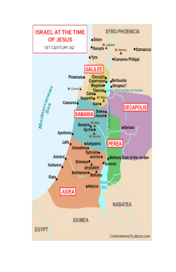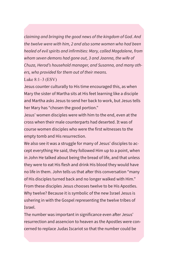*claiming and bringing the good news of the kingdom of God. And the twelve were with him, 2 and also some women who had been healed of evil spirits and infirmities: Mary, called Magdalene, from whom seven demons had gone out, 3 and Joanna, the wife of Chuza, Herod's household manager, and Susanna, and many others, who provided for them out of their means.*

Luke 8:1–3 (ESV)

Jesus counter culturally to His time encouraged this, as when Mary the sister of Martha sits at His feet learning like a disciple and Martha asks Jesus to send her back to work, but Jesus tells her Mary has "chosen the good portion."

Jesus' women disciples were with him to the end, even at the cross when their male counterparts had deserted. It was of course women disciples who were the first witnesses to the empty tomb and His resurrection.

We also see it was a struggle for many of Jesus' disciples to accept everything He said, they followed Him up to a point, when in John He talked about being the bread of life, and that unless they were to eat His flesh and drink His blood they would have no life in them. John tells us that after this conversation "many of His disciples turned back and no longer walked with Him." From these disciples Jesus chooses twelve to be His Apostles. Why twelve? Because it is symbolic of the new Israel Jesus is ushering in with the Gospel representing the twelve tribes of Israel.

The number was important in significance even after Jesus' resurrection and assencion to heaven as the Apostles were concerned to replace Judas Iscariot so that the number could be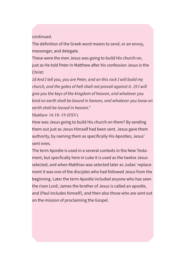continued.

The definition of the Greek word means to send, or an envoy, messenger, and delegate.

These were the men Jesus was going to build His church on, just as He told Peter in Matthew after his confession Jesus is the Christ:

*18 And I tell you, you are Peter, and on this rock I will build my church, and the gates of hell shall not prevail against it. 19 I will give you the keys of the kingdom of heaven, and whatever you bind on earth shall be bound in heaven, and whatever you loose on earth shall be loosed in heaven."*

Matthew 16:18–19 (ESV)

How was Jesus going to build His church on them? By sending them out just as Jesus Himself had been sent. Jesus gave them authority, by naming them as specifically His Apostles; Jesus' sent ones.

The term Apostle is used in a several contexts in the New Testament, but specfically here in Luke it is used as the twelve Jesus selected, and when Matthias was selected later as Judas' replacement it was one of the disciples who had followed Jesus from the beginning. Later the term Apostle included anyone who has seen the risen Lord; James the brother of Jesus is called an apostle, and (Paul includes himself), and then also those who are sent out on the mission of proclaiming the Gospel.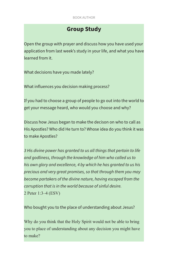# **Group Study**

Open the group with prayer and discuss how you have used your application from last week's study in your life, and what you have learned from it.

What decisions have you made lately?

What influences you decision making process?

If you had to choose a group of people to go out into the world to get your message heard, who would you choose and why?

Discuss how Jesus began to make the decison on who to call as His Apostles? Who did He turn to? Whose idea do you think it was to make Apostles?

*3 His divine power has granted to us all things that pertain to life and godliness, through the knowledge of him who called us to his own glory and excellence, 4 by which he has granted to us his precious and very great promises, so that through them you may become partakers of the divine nature, having escaped from the corruption that is in the world because of sinful desire.* 2 Peter 1:3–4 (ESV)

Who bought you to the place of understanding about Jesus?

Why do you think that the Holy Spirit would not be able to bring you to place of understanding about any decision you might have to make?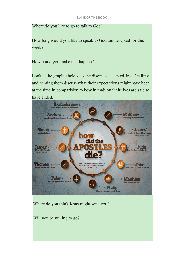Where do you like to go to talk to God?

How long would you like to speak to God uninterupted for this week?

How could you make that happen?

Look at the graphic below, as the disciples accepted Jesus' calling and naming them discuss what their expectations might have been at the time in comparision to how in tradtion their lives are said to have ended.



Where do you think Jesus might send you?

Will you be willing to go?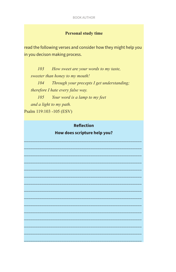### **Personal study time**

read the following verses and consider how they might help you in you decison making process.

How sweet are your words to my taste,  $103$ sweeter than honey to my mouth!  $104$ Through your precepts I get understanding; therefore I hate every false way. 105 Your word is a lamp to my feet and a light to my path. Psalm 119:103 -105 (ESV)

## **Reflection**

How does scripture help you?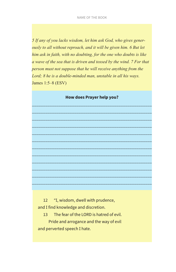*5 If any of you lacks wisdom, let him ask God, who gives generously to all without reproach, and it will be given him. 6 But let him ask in faith, with no doubting, for the one who doubts is like a wave of the sea that is driven and tossed by the wind. 7 For that person must not suppose that he will receive anything from the Lord; 8 he is a double-minded man, unstable in all his ways.* James 1:5–8 (ESV)



\_\_\_\_\_\_\_\_\_\_\_\_\_\_\_\_\_\_\_\_\_\_\_\_\_\_\_\_\_\_\_\_\_\_\_\_\_\_\_\_\_\_\_\_\_\_\_\_\_\_\_\_\_\_ \_\_\_\_\_\_\_\_\_\_\_\_\_\_\_\_\_\_\_\_\_\_\_\_\_\_\_\_\_\_\_\_\_\_\_\_\_\_\_\_\_\_\_\_\_\_\_\_\_\_\_\_\_\_ \_\_\_\_\_\_\_\_\_\_\_\_\_\_\_\_\_\_\_\_\_\_\_\_\_\_\_\_\_\_\_\_\_\_\_\_\_\_\_\_\_\_\_\_\_\_\_\_\_\_\_\_\_\_ \_\_\_\_\_\_\_\_\_\_\_\_\_\_\_\_\_\_\_\_\_\_\_\_\_\_\_\_\_\_\_\_\_\_\_\_\_\_\_\_\_\_\_\_\_\_\_\_\_\_\_\_\_\_ \_\_\_\_\_\_\_\_\_\_\_\_\_\_\_\_\_\_\_\_\_\_\_\_\_\_\_\_\_\_\_\_\_\_\_\_\_\_\_\_\_\_\_\_\_\_\_\_\_\_\_\_\_\_ \_\_\_\_\_\_\_\_\_\_\_\_\_\_\_\_\_\_\_\_\_\_\_\_\_\_\_\_\_\_\_\_\_\_\_\_\_\_\_\_\_\_\_\_\_\_\_\_\_\_\_\_\_\_ \_\_\_\_\_\_\_\_\_\_\_\_\_\_\_\_\_\_\_\_\_\_\_\_\_\_\_\_\_\_\_\_\_\_\_\_\_\_\_\_\_\_\_\_\_\_\_\_\_\_\_\_\_\_ \_\_\_\_\_\_\_\_\_\_\_\_\_\_\_\_\_\_\_\_\_\_\_\_\_\_\_\_\_\_\_\_\_\_\_\_\_\_\_\_\_\_\_\_\_\_\_\_\_\_\_\_\_\_ \_\_\_\_\_\_\_\_\_\_\_\_\_\_\_\_\_\_\_\_\_\_\_\_\_\_\_\_\_\_\_\_\_\_\_\_\_\_\_\_\_\_\_\_\_\_\_\_\_\_\_\_\_\_ \_\_\_\_\_\_\_\_\_\_\_\_\_\_\_\_\_\_\_\_\_\_\_\_\_\_\_\_\_\_\_\_\_\_\_\_\_\_\_\_\_\_\_\_\_\_\_\_\_\_\_\_\_\_ \_\_\_\_\_\_\_\_\_\_\_\_\_\_\_\_\_\_\_\_\_\_\_\_\_\_\_\_\_\_\_\_\_\_\_\_\_\_\_\_\_\_\_\_\_\_\_\_\_\_\_\_\_\_

 12 "I, wisdom, dwell with prudence, and I find knowledge and discretion.

 13 The fear of the LORD is hatred of evil. Pride and arrogance and the way of evil and perverted speech I hate.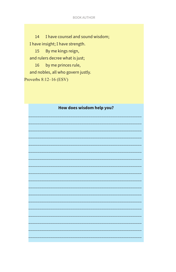#### **BOOK AUTHOR**

I have counsel and sound wisdom; 14 I have insight; I have strength.  $15<sup>15</sup>$ By me kings reign, and rulers decree what is just;  $16<sup>1</sup>$ by me princes rule, and nobles, all who govern justly. Proverbs  $8:12-16$  (ESV)

| How does wisdom help you? |
|---------------------------|
|                           |
|                           |
|                           |
|                           |
|                           |
|                           |
|                           |
|                           |
|                           |
|                           |
|                           |
|                           |
|                           |
|                           |
|                           |
|                           |
|                           |
|                           |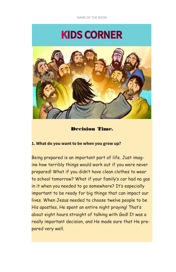# KIDS CORNER



### Decision Time.

## **1. What do you want to be when you grow up?**

Being prepared is an important part of life. Just imagine how terribly things would work out if you were never prepared! What if you didn't have clean clothes to wear to school tomorrow? What if your family's car had no gas in it when you needed to go somewhere? It's especially important to be ready for big things that can impact our lives. When Jesus needed to choose twelve people to be His apostles, He spent an entire night praying! That's about eight hours straight of talking with God! It was a really important decision, and He made sure that He prepared very well.